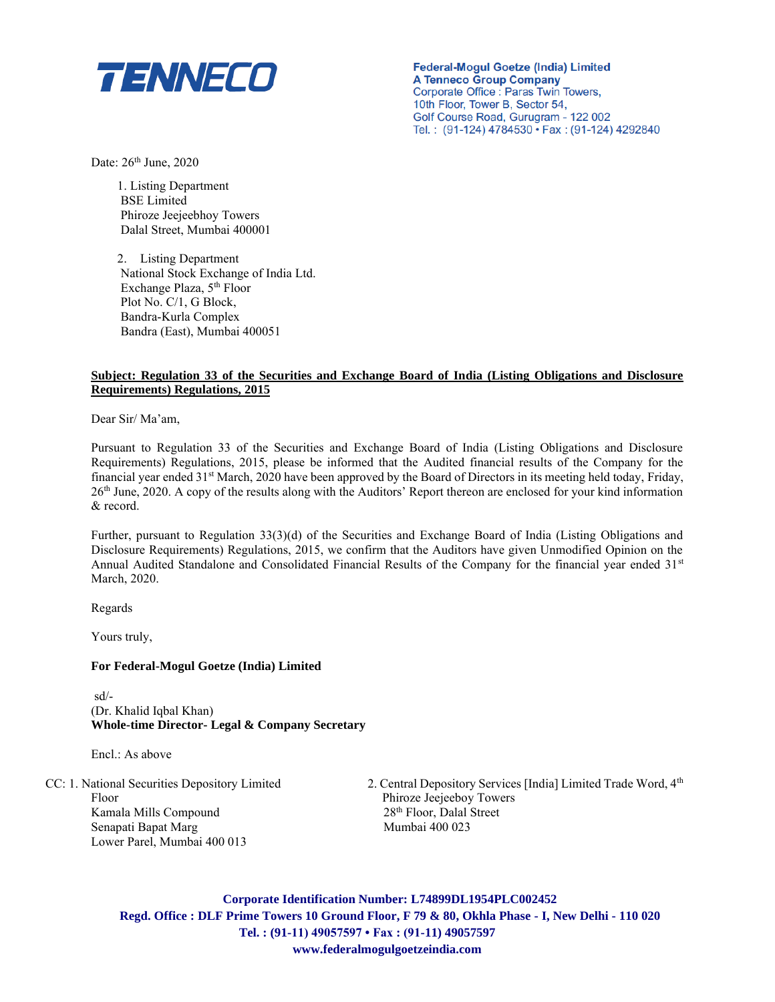

**Federal-Mogul Goetze (India) Limited A Tenneco Group Company** Corporate Office : Paras Twin Towers, 10th Floor, Tower B, Sector 54, Golf Course Road, Gurugram - 122 002 Tel.: (91-124) 4784530 · Fax: (91-124) 4292840

Date: 26<sup>th</sup> June, 2020

1. Listing Department BSE Limited Phiroze Jeejeebhoy Towers Dalal Street, Mumbai 400001

2. Listing Department National Stock Exchange of India Ltd. Exchange Plaza, 5<sup>th</sup> Floor Plot No. C/1, G Block, Bandra-Kurla Complex Bandra (East), Mumbai 400051

### **Subject: Regulation 33 of the Securities and Exchange Board of India (Listing Obligations and Disclosure Requirements) Regulations, 2015**

Dear Sir/ Ma'am,

Pursuant to Regulation 33 of the Securities and Exchange Board of India (Listing Obligations and Disclosure Requirements) Regulations, 2015, please be informed that the Audited financial results of the Company for the financial year ended  $31<sup>st</sup>$  March, 2020 have been approved by the Board of Directors in its meeting held today, Friday, 26th June, 2020. A copy of the results along with the Auditors' Report thereon are enclosed for your kind information & record.

Further, pursuant to Regulation 33(3)(d) of the Securities and Exchange Board of India (Listing Obligations and Disclosure Requirements) Regulations, 2015, we confirm that the Auditors have given Unmodified Opinion on the Annual Audited Standalone and Consolidated Financial Results of the Company for the financial year ended 31<sup>st</sup> March, 2020.

Regards

Yours truly,

### **For Federal-Mogul Goetze (India) Limited**

 sd/- (Dr. Khalid Iqbal Khan) **Whole-time Director- Legal & Company Secretary**

Encl.: As above

Floor Phiroze Jeejeeboy Towers Kamala Mills Compound 28<sup>th</sup> Floor, Dalal Street Senapati Bapat Marg Mumbai 400 023 Lower Parel, Mumbai 400 013

CC: 1. National Securities Depository Limited 2. Central Depository Services [India] Limited Trade Word, 4th

**Corporate Identification Number: L74899DL1954PLC002452 Regd. Office : DLF Prime Towers 10 Ground Floor, F 79 & 80, Okhla Phase - I, New Delhi - 110 020 Tel. : (91-11) 49057597 • Fax : (91-11) 49057597 www.federalmogulgoetzeindia.com**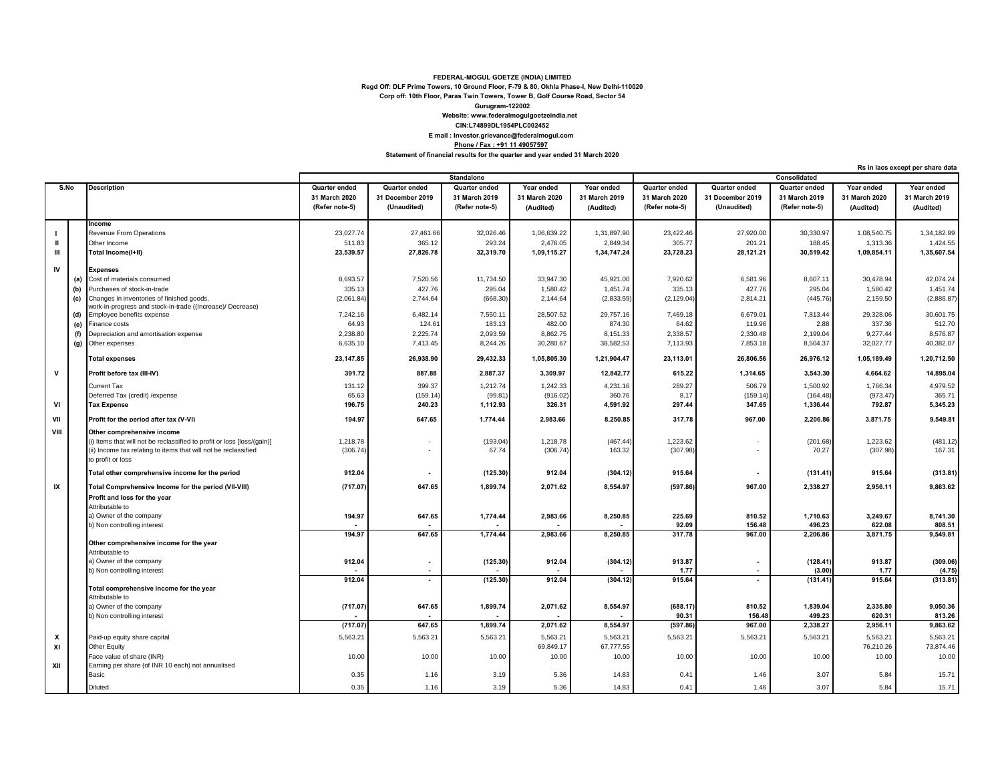#### **CIN:L74899DL1954PLC002452 Website: www.federalmogulgoetzeindia.net Gurugram-122002 Corp off: 10th Floor, Paras Twin Towers, Tower B, Golf Course Road, Sector 54 Regd Off: DLF Prime Towers, 10 Ground Floor, F-79 & 80, Okhla Phase-I, New Delhi-110020 FEDERAL-MOGUL GOETZE (INDIA) LIMITED E mail : Investor.grievance@federalmogul.com Phone / Fax : +91 11 49057597**

**Statement of financial results for the quarter and year ended 31 March 2020**

**Rs in lacs except per share data**

|              |      |                                                                                         | Standalone     |                          |                |               | Consolidated  |                |                          |                |               |               |
|--------------|------|-----------------------------------------------------------------------------------------|----------------|--------------------------|----------------|---------------|---------------|----------------|--------------------------|----------------|---------------|---------------|
|              | S.No | <b>Description</b>                                                                      | Quarter ended  | Quarter ended            | Quarter ended  | Year ended    | Year ended    | Quarter ended  | Quarter ended            | Quarter ended  | Year ended    | Year ended    |
|              |      |                                                                                         | 31 March 2020  | 31 December 2019         | 31 March 2019  | 31 March 2020 | 31 March 2019 | 31 March 2020  | 31 December 2019         | 31 March 2019  | 31 March 2020 | 31 March 2019 |
|              |      |                                                                                         | (Refer note-5) | (Unaudited)              | (Refer note-5) | (Audited)     | (Audited)     | (Refer note-5) | (Unaudited)              | (Refer note-5) | (Audited)     | (Audited)     |
|              |      |                                                                                         |                |                          |                |               |               |                |                          |                |               |               |
|              |      | Income                                                                                  |                |                          |                |               |               |                |                          |                |               |               |
|              |      | Revenue From Operations                                                                 | 23,027.74      | 27,461.66                | 32,026.46      | 1,06,639.22   | 1,31,897.90   | 23,422.46      | 27,920.00                | 30,330.97      | 1,08,540.75   | 1,34,182.99   |
| $\mathbf{I}$ |      | Other Income                                                                            | 511.83         | 365.12                   | 293.24         | 2,476.05      | 2,849.34      | 305.77         | 201.21                   | 188.45         | 1,313.36      | 1,424.55      |
| Ш            |      | Total Income(I+II)                                                                      | 23,539.57      | 27,826.78                | 32,319.70      | 1,09,115.27   | 1,34,747.24   | 23,728.23      | 28,121.21                | 30,519.42      | 1,09,854.11   | 1,35,607.54   |
|              |      |                                                                                         |                |                          |                |               |               |                |                          |                |               |               |
| IV           |      | <b>Expenses</b>                                                                         |                |                          |                |               |               |                |                          |                |               |               |
|              | (a)  | Cost of materials consumed                                                              | 8,693.57       | 7,520.56                 | 11,734.50      | 33,947.30     | 45,921.00     | 7,920.62       | 6,581.96                 | 8,607.11       | 30,478.94     | 42,074.24     |
|              | (b)  | Purchases of stock-in-trade                                                             | 335.13         | 427.76                   | 295.04         | 1,580.42      | 1,451.74      | 335.13         | 427.76                   | 295.04         | 1,580.42      | 1,451.74      |
|              | (c)  | Changes in inventories of finished goods,                                               | (2,061.84)     | 2,744.64                 | (668.30)       | 2,144.64      | (2,833.59)    | (2, 129.04)    | 2,814.21                 | (445.76)       | 2,159.50      | (2,886.87)    |
|              | (d)  | work-in-progress and stock-in-trade ((Increase)/ Decrease)<br>Employee benefits expense | 7,242.16       | 6,482.14                 | 7,550.11       | 28,507.52     | 29,757.16     | 7,469.18       | 6,679.01                 | 7,813.44       | 29,328.06     | 30,601.75     |
|              | (e)  | Finance costs                                                                           | 64.93          | 124.61                   | 183.13         | 482.00        | 874.30        | 64.62          | 119.96                   | 2.88           | 337.36        | 512.70        |
|              |      |                                                                                         | 2,238.80       | 2,225.74                 | 2,093.59       | 8,862.75      | 8,151.33      | 2,338.57       | 2,330.48                 | 2,199.04       | 9,277.44      | 8,576.87      |
|              | (f)  | Depreciation and amortisation expense<br>Other expenses                                 | 6,635.10       | 7,413.45                 | 8,244.26       | 30,280.67     | 38,582.53     | 7,113.93       | 7,853.18                 | 8,504.37       | 32,027.77     | 40,382.07     |
|              | (g)  |                                                                                         |                |                          |                |               |               |                |                          |                |               |               |
|              |      | <b>Total expenses</b>                                                                   | 23,147.85      | 26,938.90                | 29,432.33      | 1,05,805.30   | 1,21,904.47   | 23,113.01      | 26,806.56                | 26,976.12      | 1,05,189.49   | 1,20,712.50   |
| $\mathbf v$  |      | Profit before tax (III-IV)                                                              | 391.72         | 887.88                   | 2,887.37       | 3,309.97      | 12,842.77     | 615.22         | 1,314.65                 | 3,543.30       | 4,664.62      | 14,895.04     |
|              |      | <b>Current Tax</b>                                                                      | 131.12         | 399.37                   | 1,212.74       | 1,242.33      | 4,231.16      | 289.27         | 506.79                   | 1,500.92       | 1,766.34      | 4,979.52      |
|              |      | Deferred Tax (credit) / expense                                                         | 65.63          | (159.14)                 | (99.81)        | (916.02)      | 360.76        | 8.17           | (159.14)                 | (164.48)       | (973.47)      | 365.71        |
| VI           |      | <b>Tax Expense</b>                                                                      | 196.75         | 240.23                   | 1,112.93       | 326.31        | 4,591.92      | 297.44         | 347.65                   | 1,336.44       | 792.87        | 5,345.23      |
| VII          |      | Profit for the period after tax (V-VI)                                                  | 194.97         | 647.65                   | 1,774.44       | 2,983.66      | 8,250.85      | 317.78         | 967.00                   | 2,206.86       | 3,871.75      | 9.549.81      |
| VIII         |      | Other comprehensive income                                                              |                |                          |                |               |               |                |                          |                |               |               |
|              |      | (i) Items that will not be reclassified to profit or loss [loss/(gain)]                 | 1,218.78       | ٠                        | (193.04)       | 1,218.78      | (467.44)      | 1,223.62       | $\overline{\phantom{a}}$ | (201.68)       | 1,223.62      | (481.12)      |
|              |      | (ii) Income tax relating to items that will not be reclassified                         | (306.74)       |                          | 67.74          | (306.74)      | 163.32        | (307.98)       | $\overline{\phantom{a}}$ | 70.27          | (307.98)      | 167.31        |
|              |      | to profit or loss                                                                       |                |                          |                |               |               |                |                          |                |               |               |
|              |      |                                                                                         |                |                          |                |               |               |                |                          |                |               |               |
|              |      | Total other comprehensive income for the period                                         | 912.04         | $\blacksquare$           | (125.30)       | 912.04        | (304.12)      | 915.64         | $\overline{\phantom{a}}$ | (131.41)       | 915.64        | (313.81)      |
| IX           |      | Total Comprehensive Income for the period (VII-VIII)                                    | (717.07)       | 647.65                   | 1,899.74       | 2,071.62      | 8,554.97      | (597.86)       | 967.00                   | 2,338.27       | 2,956.11      | 9,863.62      |
|              |      | Profit and loss for the year                                                            |                |                          |                |               |               |                |                          |                |               |               |
|              |      | Attributable to                                                                         |                |                          |                |               |               |                |                          |                |               |               |
|              |      | a) Owner of the company                                                                 | 194.97         | 647.65                   | 1,774.44       | 2,983.66      | 8,250.85      | 225.69         | 810.52                   | 1,710.63       | 3,249.67      | 8,741.30      |
|              |      | b) Non controlling interest                                                             |                |                          |                |               |               | 92.09          | 156.48                   | 496.23         | 622.08        | 808.51        |
|              |      |                                                                                         | 194.97         | 647.65                   | 1,774.44       | 2,983.66      | 8,250.85      | 317.78         | 967.00                   | 2,206.86       | 3,871.75      | 9,549.81      |
|              |      | Other comprehensive income for the year                                                 |                |                          |                |               |               |                |                          |                |               |               |
|              |      | Attributable to<br>a) Owner of the company                                              | 912.04         | $\overline{\phantom{a}}$ | (125.30)       | 912.04        |               | 913.87         | $\blacksquare$           | (128.41)       | 913.87        | (309.06)      |
|              |      | b) Non controlling interest                                                             |                | $\overline{\phantom{a}}$ |                |               | (304.12)      | 1.77           | $\blacksquare$           | (3.00)         | 1.77          | (4.75)        |
|              |      |                                                                                         | 912.04         | $\blacksquare$           | (125.30)       | 912.04        | (304.12)      | 915.64         | $\overline{\phantom{a}}$ | (131.41)       | 915.64        | (313.81)      |
|              |      | Total comprehensive income for the year                                                 |                |                          |                |               |               |                |                          |                |               |               |
|              |      | Attributable to                                                                         |                |                          |                |               |               |                |                          |                |               |               |
|              |      | a) Owner of the company                                                                 | (717.07)       | 647.65                   | 1,899.74       | 2,071.62      | 8,554.97      | (688.17)       | 810.52                   | 1,839.04       | 2,335.80      | 9,050.36      |
|              |      | b) Non controlling interest                                                             |                |                          |                |               |               | 90.31          | 156.48                   | 499.23         | 620.31        | 813.26        |
|              |      |                                                                                         | (717.07        | 647.65                   | 1,899.74       | 2,071.62      | 8,554.97      | (597.86)       | 967.00                   | 2,338.27       | 2,956.11      | 9,863.62      |
| X            |      | Paid-up equity share capital                                                            | 5,563.21       | 5,563.21                 | 5,563.21       | 5,563.21      | 5,563.21      | 5,563.21       | 5,563.21                 | 5,563.21       | 5,563.21      | 5,563.21      |
| XI           |      | Other Equity                                                                            |                |                          |                | 69,849.17     | 67,777.55     |                |                          |                | 76,210.26     | 73,874.46     |
|              |      | Face value of share (INR)                                                               | 10.00          | 10.00                    | 10.00          | 10.00         | 10.00         | 10.00          | 10.00                    | 10.00          | 10.00         | 10.00         |
| XII          |      | Earning per share (of INR 10 each) not annualised                                       |                |                          |                |               |               |                |                          |                |               |               |
|              |      | <b>Basic</b>                                                                            | 0.35           | 1.16                     | 3.19           | 5.36          | 14.83         | 0.41           | 1.46                     | 3.07           | 5.84          | 15.71         |
|              |      | <b>Diluted</b>                                                                          | 0.35           | 1.16                     | 3.19           | 5.36          | 14.83         | 0.41           | 1.46                     | 3.07           | 5.84          | 15.71         |
|              |      |                                                                                         |                |                          |                |               |               |                |                          |                |               |               |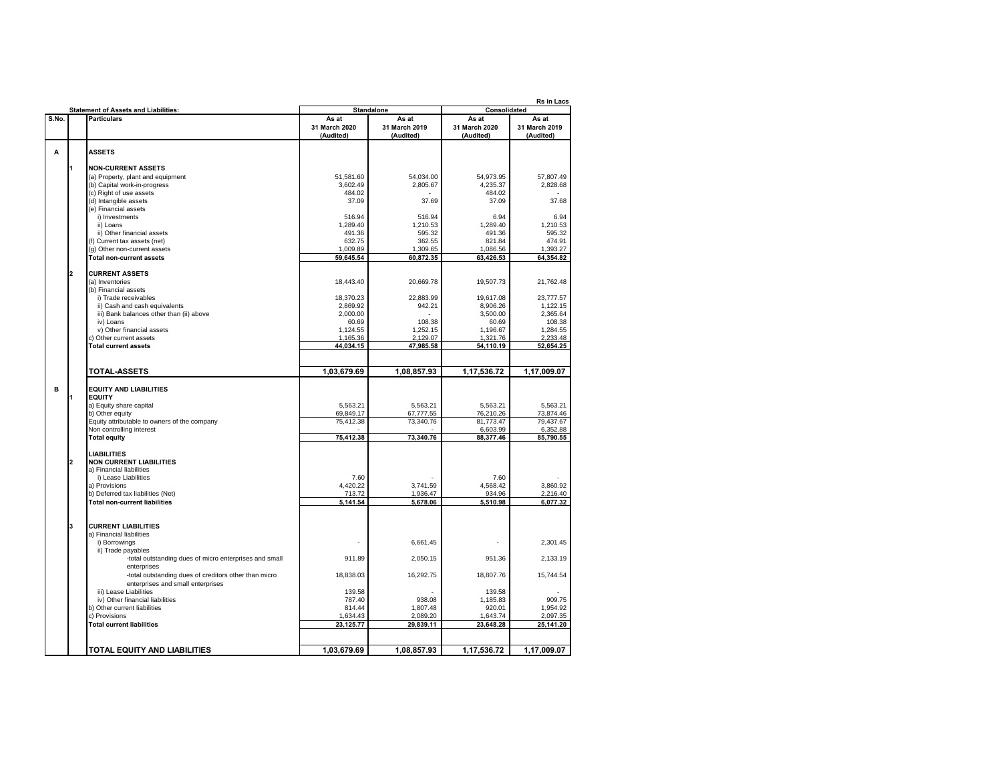|       |    | <b>Statement of Assets and Liabilities:</b>                                  |                       | <b>Standalone</b>     | Rs in Lacs<br>Consolidated |                       |  |
|-------|----|------------------------------------------------------------------------------|-----------------------|-----------------------|----------------------------|-----------------------|--|
| S.No. |    | <b>Particulars</b>                                                           | As at                 | As at                 | As at                      | As at                 |  |
|       |    |                                                                              | 31 March 2020         | 31 March 2019         | 31 March 2020              | 31 March 2019         |  |
|       |    |                                                                              | (Audited)             | (Audited)             | (Audited)                  | (Audited)             |  |
| A     |    | <b>ASSETS</b>                                                                |                       |                       |                            |                       |  |
|       |    |                                                                              |                       |                       |                            |                       |  |
|       | l1 | <b>NON-CURRENT ASSETS</b>                                                    |                       |                       |                            |                       |  |
|       |    | (a) Property, plant and equipment                                            | 51.581.60             | 54.034.00             | 54.973.95                  | 57.807.49             |  |
|       |    | (b) Capital work-in-progress                                                 | 3,602.49              | 2,805.67              | 4,235.37                   | 2,828.68              |  |
|       |    | (c) Right of use assets                                                      | 484.02<br>37.09       | 37.69                 | 484.02<br>37.09            | 37.68                 |  |
|       |    | (d) Intangible assets<br>(e) Financial assets                                |                       |                       |                            |                       |  |
|       |    | i) Investments                                                               | 516.94                | 516.94                | 6.94                       | 6.94                  |  |
|       |    | ii) Loans                                                                    | 1,289.40              | 1,210.53              | 1,289.40                   | 1,210.53              |  |
|       |    | ii) Other financial assets                                                   | 491.36                | 595.32                | 491.36                     | 595.32                |  |
|       |    | (f) Current tax assets (net)                                                 | 632.75                | 362.55                | 821.84                     | 474.91                |  |
|       |    | (g) Other non-current assets                                                 | 1,009.89              | 1,309.65              | 1,086.56                   | 1,393.27              |  |
|       |    | <b>Total non-current assets</b>                                              | 59,645.54             | 60,872.35             | 63,426.53                  | 64,354.82             |  |
|       | 2  | <b>CURRENT ASSETS</b>                                                        |                       |                       |                            |                       |  |
|       |    | (a) Inventories                                                              | 18,443.40             | 20.669.78             | 19.507.73                  | 21,762.48             |  |
|       |    | (b) Financial assets                                                         |                       |                       |                            |                       |  |
|       |    | i) Trade receivables                                                         | 18,370.23             | 22,883.99             | 19,617.08                  | 23,777.57             |  |
|       |    | ii) Cash and cash equivalents                                                | 2,869.92              | 942.21                | 8,906.26                   | 1,122.15              |  |
|       |    | iii) Bank balances other than (ii) above                                     | 2.000.00              |                       | 3,500.00                   | 2,365.64              |  |
|       |    | iv) Loans                                                                    | 60.69                 | 108.38                | 60.69                      | 108.38                |  |
|       |    | v) Other financial assets<br>c) Other current assets                         | 1,124.55<br>1,165.36  | 1,252.15<br>2,129.07  | 1,196.67<br>1,321.76       | 1,284.55<br>2,233.48  |  |
|       |    | <b>Total current assets</b>                                                  | 44.034.15             | 47,985.58             | 54,110.19                  | 52,654.25             |  |
|       |    |                                                                              |                       |                       |                            |                       |  |
|       |    |                                                                              |                       |                       |                            |                       |  |
|       |    | <b>TOTAL-ASSETS</b>                                                          | 1,03,679.69           | 1,08,857.93           | 1,17,536.72                | 1,17,009.07           |  |
|       |    |                                                                              |                       |                       |                            |                       |  |
| в     | l1 | <b>EQUITY AND LIABILITIES</b><br><b>EQUITY</b>                               |                       |                       |                            |                       |  |
|       |    | a) Equity share capital                                                      | 5,563.21              | 5,563.21              | 5,563.21                   | 5,563.21              |  |
|       |    | b) Other equity                                                              | 69,849.17             | 67,777.55             | 76,210.26                  | 73,874.46             |  |
|       |    | Equity attributable to owners of the company                                 | 75,412.38             | 73,340.76             | 81,773.47                  | 79,437.67             |  |
|       |    | Non controlling interest                                                     |                       |                       | 6,603.99                   | 6,352.88              |  |
|       |    | <b>Total equity</b>                                                          | 75,412.38             | 73,340.76             | 88,377.46                  | 85,790.55             |  |
|       |    | <b>LIABILITIES</b>                                                           |                       |                       |                            |                       |  |
|       | 2  | <b>NON CURRENT LIABILITIES</b>                                               |                       |                       |                            |                       |  |
|       |    | a) Financial liabilities                                                     |                       |                       |                            |                       |  |
|       |    | i) Lease Liabilities                                                         | 7.60                  |                       | 7.60                       |                       |  |
|       |    | a) Provisions                                                                | 4,420.22              | 3,741.59              | 4,568.42                   | 3,860.92              |  |
|       |    | b) Deferred tax liabilities (Net)                                            | 713.72                | 1.936.47              | 934.96<br>5,510.98         | 2,216.40              |  |
|       |    | <b>Total non-current liabilities</b>                                         | 5,141.54              | 5,678.06              |                            | 6,077.32              |  |
|       |    |                                                                              |                       |                       |                            |                       |  |
|       | l3 | <b>CURRENT LIABILITIES</b>                                                   |                       |                       |                            |                       |  |
|       |    | a) Financial liabilities                                                     |                       |                       |                            |                       |  |
|       |    | i) Borrowings                                                                |                       | 6,661.45              |                            | 2,301.45              |  |
|       |    | ii) Trade payables<br>-total outstanding dues of micro enterprises and small | 911.89                | 2,050.15              | 951.36                     | 2,133.19              |  |
|       |    | enterprises                                                                  |                       |                       |                            |                       |  |
|       |    | -total outstanding dues of creditors other than micro                        | 18,838.03             | 16,292.75             | 18,807.76                  | 15,744.54             |  |
|       |    | enterprises and small enterprises                                            |                       |                       |                            |                       |  |
|       |    | iii) Lease Liabilities                                                       | 139.58                |                       | 139.58                     |                       |  |
|       |    | iv) Other financial liabilities                                              | 787.40                | 938.08                | 1,185.83                   | 909.75                |  |
|       |    | b) Other current liabilities                                                 | 814.44                | 1,807.48              | 920.01                     | 1,954.92              |  |
|       |    | c) Provisions                                                                | 1,634.43<br>23.125.77 | 2,089.20<br>29,839.11 | 1,643.74<br>23,648.28      | 2,097.35<br>25,141.20 |  |
|       |    | <b>Total current liabilities</b>                                             |                       |                       |                            |                       |  |
|       |    |                                                                              |                       |                       |                            |                       |  |
|       |    | TOTAL EQUITY AND LIABILITIES                                                 | 1,03,679.69           | 1,08,857.93           | 1,17,536.72                | 1,17,009.07           |  |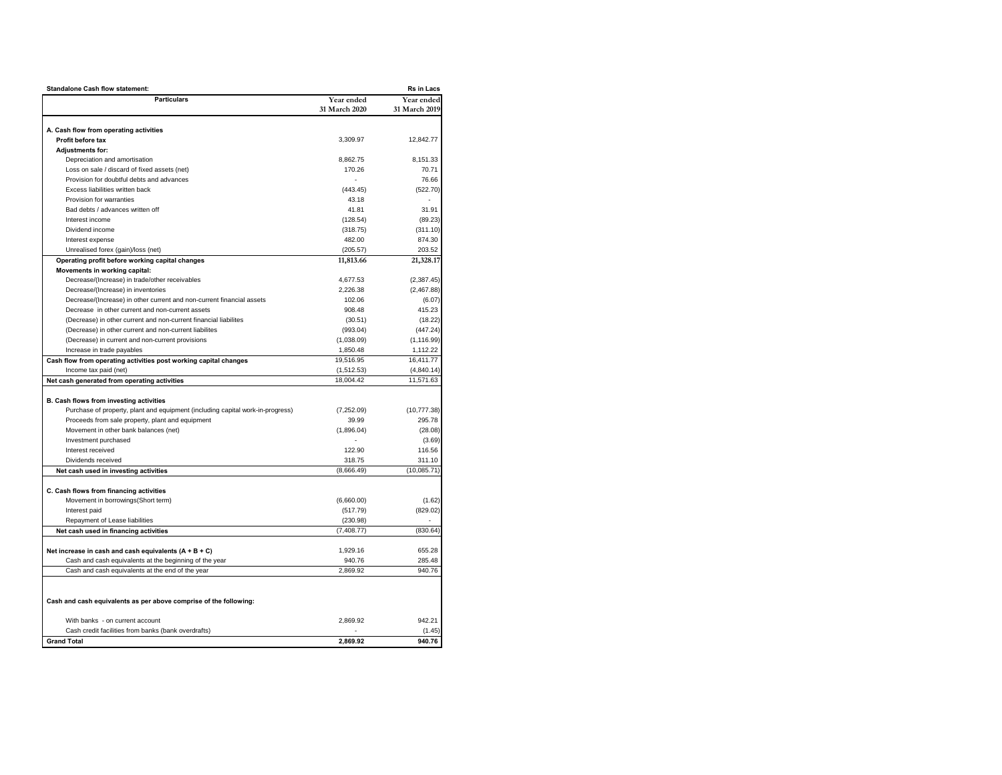| Rs in Lacs<br><b>Standalone Cash flow statement:</b>                           |                       |                       |  |  |  |  |
|--------------------------------------------------------------------------------|-----------------------|-----------------------|--|--|--|--|
| <b>Particulars</b>                                                             | Year ended            | Year ended            |  |  |  |  |
|                                                                                | 31 March 2020         | 31 March 2019         |  |  |  |  |
|                                                                                |                       |                       |  |  |  |  |
| A. Cash flow from operating activities                                         |                       |                       |  |  |  |  |
| Profit before tax                                                              | 3,309.97              | 12,842.77             |  |  |  |  |
| <b>Adiustments for:</b>                                                        |                       |                       |  |  |  |  |
| Depreciation and amortisation                                                  | 8,862.75              | 8,151.33              |  |  |  |  |
| Loss on sale / discard of fixed assets (net)                                   | 170.26                | 70.71                 |  |  |  |  |
| Provision for doubtful debts and advances                                      |                       | 76.66                 |  |  |  |  |
| Excess liabilities written back                                                | (443.45)              | (522.70)              |  |  |  |  |
| Provision for warranties                                                       | 43.18                 |                       |  |  |  |  |
| Bad debts / advances written off                                               | 41.81                 | 31.91                 |  |  |  |  |
| Interest income                                                                | (128.54)              | (89.23)               |  |  |  |  |
| Dividend income                                                                | (318.75)              | (311.10)              |  |  |  |  |
| Interest expense                                                               | 482.00                | 874.30                |  |  |  |  |
| Unrealised forex (gain)/loss (net)                                             | (205.57)              | 203.52                |  |  |  |  |
| Operating profit before working capital changes                                | 11,813.66             | 21,328.17             |  |  |  |  |
| Movements in working capital:                                                  |                       |                       |  |  |  |  |
| Decrease/(Increase) in trade/other receivables                                 | 4,677.53              | (2, 387.45)           |  |  |  |  |
| Decrease/(Increase) in inventories                                             | 2,226.38              | (2,467.88)            |  |  |  |  |
| Decrease/(Increase) in other current and non-current financial assets          | 102.06                | (6.07)                |  |  |  |  |
| Decrease in other current and non-current assets                               | 908.48                | 415.23                |  |  |  |  |
| (Decrease) in other current and non-current financial liabilites               | (30.51)               | (18.22)               |  |  |  |  |
| (Decrease) in other current and non-current liabilites                         | (993.04)              | (447.24)              |  |  |  |  |
| (Decrease) in current and non-current provisions                               | (1,038.09)            | (1, 116.99)           |  |  |  |  |
| Increase in trade payables                                                     | 1,850.48<br>19,516.95 | 1,112.22<br>16,411.77 |  |  |  |  |
| Cash flow from operating activities post working capital changes               |                       |                       |  |  |  |  |
| Income tax paid (net)                                                          | (1,512.53)            | (4,840.14)            |  |  |  |  |
| Net cash generated from operating activities                                   | 18,004.42             | 11,571.63             |  |  |  |  |
| B. Cash flows from investing activities                                        |                       |                       |  |  |  |  |
| Purchase of property, plant and equipment (including capital work-in-progress) | (7,252.09)            | (10, 777.38)          |  |  |  |  |
| Proceeds from sale property, plant and equipment                               | 39.99                 | 295.78                |  |  |  |  |
| Movement in other bank balances (net)                                          | (1,896.04)            | (28.08)               |  |  |  |  |
| Investment purchased                                                           |                       | (3.69)                |  |  |  |  |
| Interest received                                                              | 122.90                | 116.56                |  |  |  |  |
| Dividends received                                                             | 318.75                | 311.10                |  |  |  |  |
| Net cash used in investing activities                                          | (8,666.49)            | (10,085.71)           |  |  |  |  |
|                                                                                |                       |                       |  |  |  |  |
| C. Cash flows from financing activities                                        |                       |                       |  |  |  |  |
| Movement in borrowings(Short term)                                             | (6,660.00)            | (1.62)                |  |  |  |  |
| Interest paid                                                                  | (517.79)              | (829.02)              |  |  |  |  |
| Repayment of Lease liabilities                                                 | (230.98)              |                       |  |  |  |  |
| Net cash used in financing activities                                          | (7, 408.77)           | (830.64)              |  |  |  |  |
|                                                                                |                       |                       |  |  |  |  |
| Net increase in cash and cash equivalents $(A + B + C)$                        | 1,929.16              | 655.28                |  |  |  |  |
| Cash and cash equivalents at the beginning of the year                         | 940.76                | 285.48                |  |  |  |  |
| Cash and cash equivalents at the end of the year                               | 2,869.92              | 940.76                |  |  |  |  |
|                                                                                |                       |                       |  |  |  |  |
|                                                                                |                       |                       |  |  |  |  |
| Cash and cash equivalents as per above comprise of the following:              |                       |                       |  |  |  |  |
|                                                                                |                       |                       |  |  |  |  |
| With banks - on current account                                                | 2,869.92              | 942.21                |  |  |  |  |
| Cash credit facilities from banks (bank overdrafts)                            |                       | (1.45)                |  |  |  |  |
| <b>Grand Total</b>                                                             | 2.869.92              | 940.76                |  |  |  |  |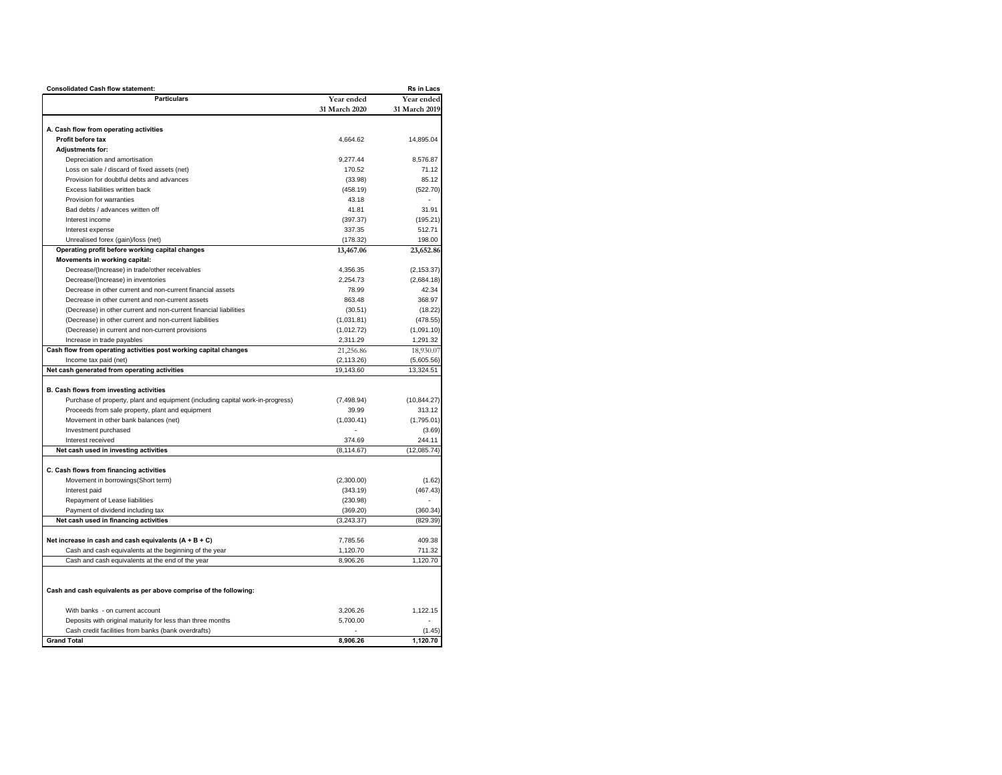| <b>Consolidated Cash flow statement:</b>                                       |               | <b>Rs in Lacs</b> |
|--------------------------------------------------------------------------------|---------------|-------------------|
| <b>Particulars</b>                                                             | Year ended    | Year ended        |
|                                                                                | 31 March 2020 | 31 March 2019     |
|                                                                                |               |                   |
| A. Cash flow from operating activities                                         |               |                   |
| Profit before tax                                                              | 4,664.62      | 14,895.04         |
| <b>Adjustments for:</b>                                                        |               |                   |
| Depreciation and amortisation                                                  | 9,277.44      | 8,576.87          |
| Loss on sale / discard of fixed assets (net)                                   | 170.52        | 71.12             |
| Provision for doubtful debts and advances                                      | (33.98)       | 85.12             |
| Excess liabilities written back                                                | (458.19)      | (522.70)          |
| Provision for warranties                                                       | 43.18         |                   |
| Bad debts / advances written off                                               | 41.81         | 31.91             |
| Interest income                                                                | (397.37)      | (195.21)          |
| Interest expense                                                               | 337.35        | 512.71            |
| Unrealised forex (gain)/loss (net)                                             | (178.32)      | 198.00            |
| Operating profit before working capital changes                                | 13,467.06     | 23,652.86         |
| Movements in working capital:                                                  |               |                   |
| Decrease/(Increase) in trade/other receivables                                 | 4,356.35      | (2, 153.37)       |
| Decrease/(Increase) in inventories                                             | 2,254.73      | (2,684.18)        |
| Decrease in other current and non-current financial assets                     | 78.99         | 42.34             |
| Decrease in other current and non-current assets                               | 863.48        | 368.97            |
| (Decrease) in other current and non-current financial liabilities              | (30.51)       | (18.22)           |
| (Decrease) in other current and non-current liabilities                        | (1,031.81)    | (478.55)          |
| (Decrease) in current and non-current provisions                               | (1,012.72)    | (1,091.10)        |
| Increase in trade payables                                                     | 2,311.29      | 1,291.32          |
| Cash flow from operating activities post working capital changes               | 21,256.86     | 18,930.07         |
| Income tax paid (net)                                                          | (2, 113.26)   | (5,605.56)        |
| Net cash generated from operating activities                                   | 19,143.60     | 13,324.51         |
| B. Cash flows from investing activities                                        |               |                   |
| Purchase of property, plant and equipment (including capital work-in-progress) | (7, 498.94)   | (10, 844.27)      |
| Proceeds from sale property, plant and equipment                               | 39.99         | 313.12            |
| Movement in other bank balances (net)                                          | (1,030.41)    | (1,795.01)        |
| Investment purchased                                                           |               | (3.69)            |
| Interest received                                                              | 374.69        | 244.11            |
| Net cash used in investing activities                                          | (8, 114.67)   | (12,085.74)       |
|                                                                                |               |                   |
| C. Cash flows from financing activities                                        |               |                   |
| Movement in borrowings(Short term)                                             | (2,300.00)    | (1.62)            |
| Interest paid                                                                  | (343.19)      | (467.43)          |
| Repayment of Lease liabilities                                                 | (230.98)      |                   |
| Payment of dividend including tax                                              | (369.20)      | (360.34)          |
| Net cash used in financing activities                                          | (3,243.37)    | (829.39)          |
|                                                                                |               |                   |
| Net increase in cash and cash equivalents $(A + B + C)$                        | 7,785.56      | 409.38            |
| Cash and cash equivalents at the beginning of the year                         | 1,120.70      | 711.32            |
| Cash and cash equivalents at the end of the year                               | 8.906.26      | 1.120.70          |
|                                                                                |               |                   |
|                                                                                |               |                   |
| Cash and cash equivalents as per above comprise of the following:              |               |                   |
|                                                                                |               |                   |
| With banks - on current account                                                | 3,206.26      | 1.122.15          |
| Deposits with original maturity for less than three months                     | 5,700.00      |                   |
| Cash credit facilities from banks (bank overdrafts)                            |               | (1.45)            |
| <b>Grand Total</b>                                                             | 8,906.26      | 1,120.70          |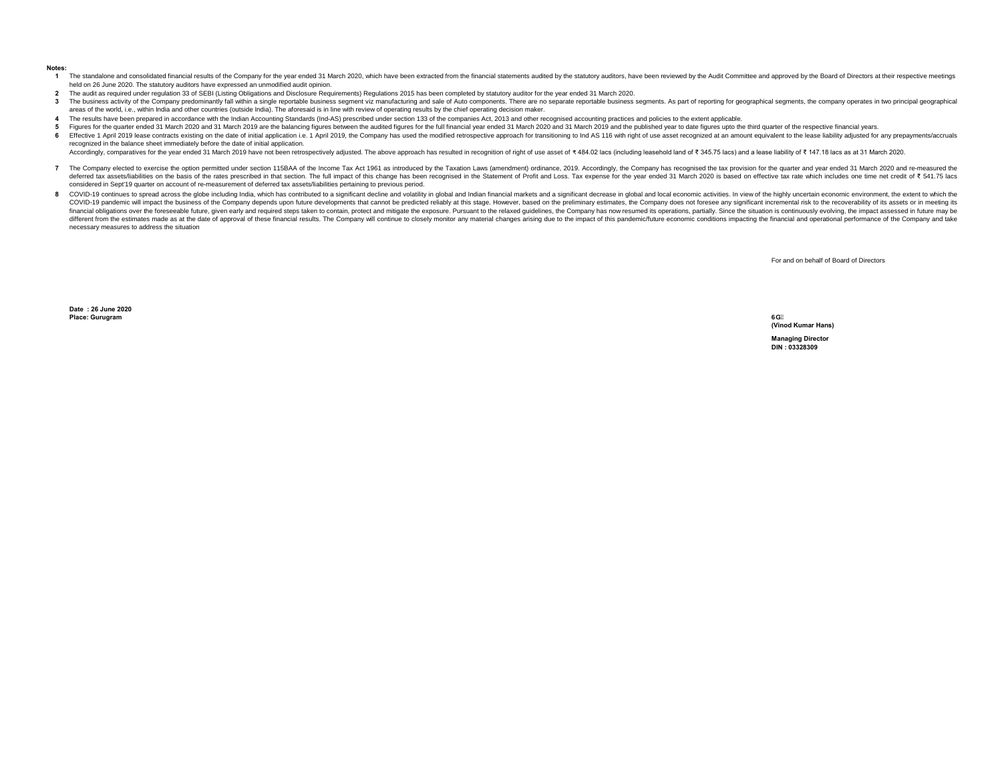#### **Notes:**

- 1 The standalone and consolidated financial results of the Company for the year ended 31 March 2020, which have been extracted from the financial statements audited by the statutory auditors, have been reviewed by the Audi held on 26 June 2020. The statutory auditors have expressed an unmodified audit opinion.
- **2** The audit as required under regulation 33 of SEBI (Listing Obligations and Disclosure Requirements) Regulations 2015 has been completed by statutory auditor for the year ended 31 March 2020.
- 3 The business activity of the Company predominantly fall within a single reportable business segment viz manufacturing and sale of Auto components. There are no separate reportable business segments. As part of reporting areas of the world, i.e., within India and other countries (outside India). The aforesaid is in line with review of operating results by the chief operating decision maker.
- **4** The results have been prepared in accordance with the Indian Accounting Standards (Ind-AS) prescribed under section 133 of the companies Act, 2013 and other recognised accounting practices and policies to the extent applic
- **5** Figures for the quarter ended 31 March 2020 and 31 March 2019 are the balancing figures between the audited figures for the full financial year ended 31 March 2020 and 31 March 2019 and the published year to date figures u
- **6** Effective 1 April 2019 lease contracts existing on the date of initial application i.e. 1 April 2019, the Company has used the modified retrospective approach for transitioning to Ind AS 116 with right of use asset recogni recognized in the balance sheet immediately before the date of initial application.

Accordingly, comparatives for the year ended 31 March 2019 have not been retrospectively adjusted. The above approach has resulted in recognition of right of use asset of ₹484.02 lacs (including leasehold land of ₹345.75

- 7 The Company elected to exercise the option permitted under section 115BAA of the Income Tax Act 1961 as introduced by the Taxation Laws (amendment) ordinance, 2019. Accordingly, the Company has recognised the tax provisi deferred tax assets/liabilities on the basis of the rates prescribed in that section. The full impact of this change has been recognised in the Statement of Profit and Loss. Tax expense for the year ended 31 March 2020 is considered in Sept'19 quarter on account of re-measurement of deferred tax assets/liabilities pertaining to previous period.
- 8 COVID-19 continues to spread across the globe including India, which has contributed to a significant decline and volatility in global and Indian financial markets and a significant decrease in global and local economic COVID-19 pandemic will impact the business of the Company depends upon future developments that cannot be predicted reliably at this stage. However, based on the preliminary estimates, the Company does not foresee any sign financial obligations over the foreseeable future, given early and required steps taken to contain, protect and mitigate the exposure. Pursuant to the relaxed guidelines, the Company has now resumed its operations, partial different from the estimates made as at the date of approval of these financial results. The Company will continue to closely monitor any material changes arising due to the impact of this pandemic/future economic conditio necessary measures to address the situation

For and on behalf of Board of Directors

**Date : 26 June 2020 Place: Gurugram**

**6G (Vinod Kumar Hans)**

**Managing Director DIN : 03328309**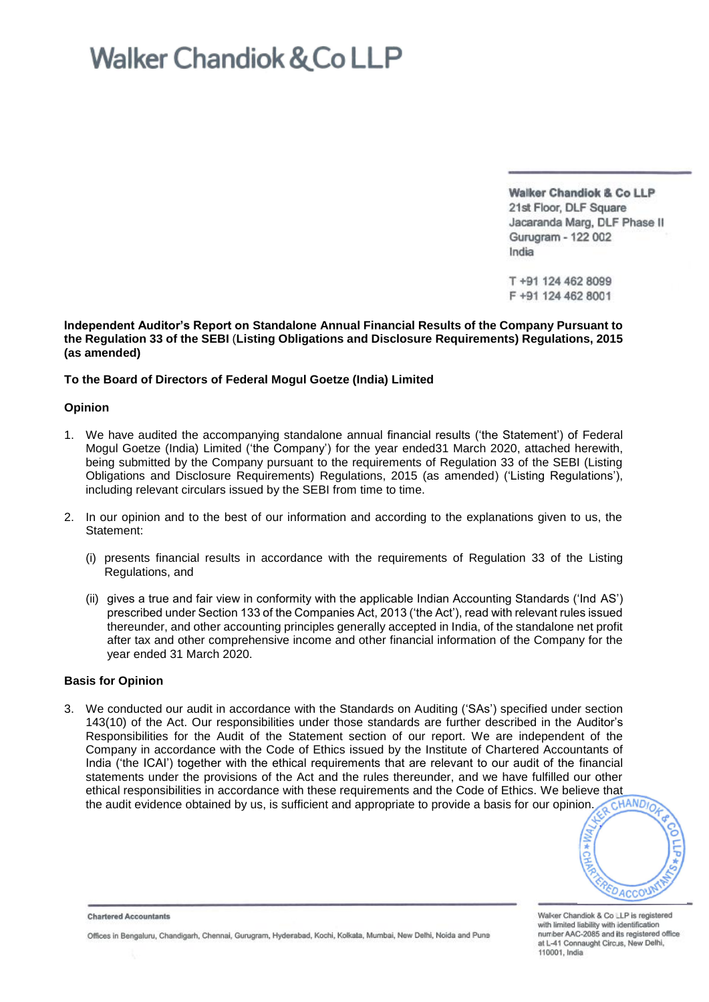**Walker Chandiok & Co LLP** 21st Floor, DLF Square Jacaranda Marg, DLF Phase II Gurugram - 122 002 India

T+91 124 462 8099 F +91 124 462 8001

**Independent Auditor's Report on Standalone Annual Financial Results of the Company Pursuant to the Regulation 33 of the SEBI** (**Listing Obligations and Disclosure Requirements) Regulations, 2015 (as amended)**

### **To the Board of Directors of Federal Mogul Goetze (India) Limited**

### **Opinion**

- 1. We have audited the accompanying standalone annual financial results ('the Statement') of Federal Mogul Goetze (India) Limited ('the Company') for the year ended31 March 2020, attached herewith, being submitted by the Company pursuant to the requirements of Regulation 33 of the SEBI (Listing Obligations and Disclosure Requirements) Regulations, 2015 (as amended) ('Listing Regulations'), including relevant circulars issued by the SEBI from time to time.
- 2. In our opinion and to the best of our information and according to the explanations given to us, the Statement:
	- (i) presents financial results in accordance with the requirements of Regulation 33 of the Listing Regulations, and
	- (ii) gives a true and fair view in conformity with the applicable Indian Accounting Standards ('Ind AS') prescribed under Section 133 of the Companies Act, 2013 ('the Act'), read with relevant rules issued thereunder, and other accounting principles generally accepted in India, of the standalone net profit after tax and other comprehensive income and other financial information of the Company for the year ended 31 March 2020.

### **Basis for Opinion**

3. We conducted our audit in accordance with the Standards on Auditing ('SAs') specified under section 143(10) of the Act. Our responsibilities under those standards are further described in the Auditor's Responsibilities for the Audit of the Statement section of our report. We are independent of the Company in accordance with the Code of Ethics issued by the Institute of Chartered Accountants of India ('the ICAI') together with the ethical requirements that are relevant to our audit of the financial statements under the provisions of the Act and the rules thereunder, and we have fulfilled our other ethical responsibilities in accordance with these requirements and the Code of Ethics. We believe that<br>the audit evidence obtained by us, is sufficient and appropriate to provide a basis for our opinion. the audit evidence obtained by us, is sufficient and appropriate to provide a basis for our opinion.

**DACCOU** 

Walker Chandiok & Co LLP is registered with limited liability with identification number AAC-2085 and its registered office at L-41 Connaught Circus, New Delhi, 110001. India

**Chartered Accountants** 

Offices in Bengaluru, Chandigarh, Chennai, Gurugram, Hyderabad, Kochi, Kolkata, Mumbai, New Delhi, Noida and Puna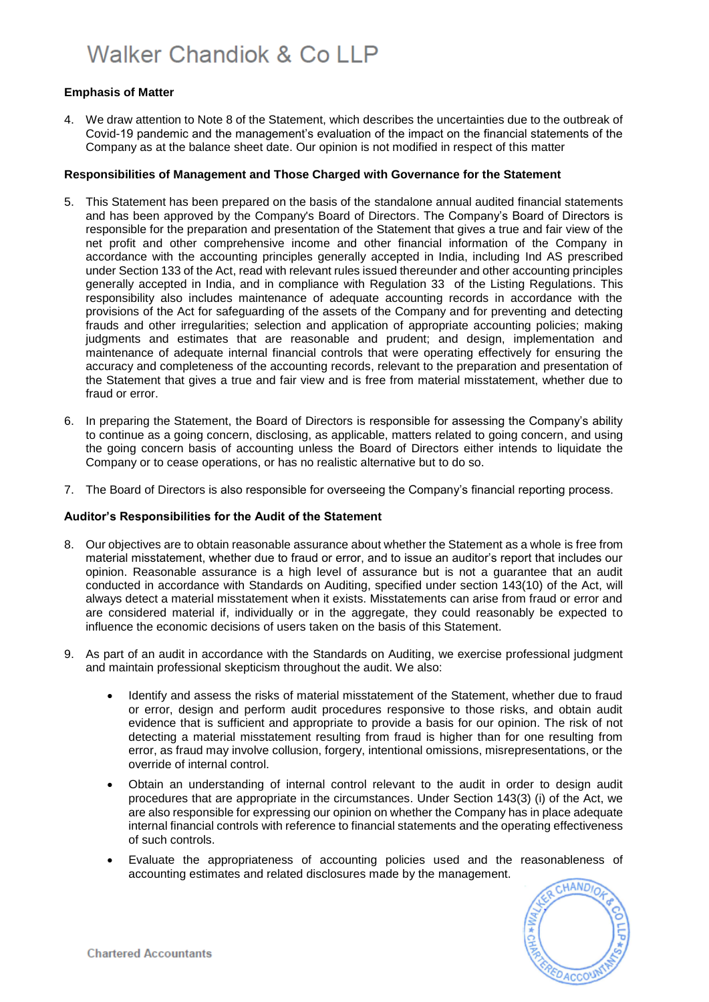### **Emphasis of Matter**

4. We draw attention to Note 8 of the Statement, which describes the uncertainties due to the outbreak of Covid-19 pandemic and the management's evaluation of the impact on the financial statements of the Company as at the balance sheet date. Our opinion is not modified in respect of this matter

### **Responsibilities of Management and Those Charged with Governance for the Statement**

- 5. This Statement has been prepared on the basis of the standalone annual audited financial statements and has been approved by the Company's Board of Directors. The Company's Board of Directors is responsible for the preparation and presentation of the Statement that gives a true and fair view of the net profit and other comprehensive income and other financial information of the Company in accordance with the accounting principles generally accepted in India, including Ind AS prescribed under Section 133 of the Act, read with relevant rules issued thereunder and other accounting principles generally accepted in India, and in compliance with Regulation 33 of the Listing Regulations. This responsibility also includes maintenance of adequate accounting records in accordance with the provisions of the Act for safeguarding of the assets of the Company and for preventing and detecting frauds and other irregularities; selection and application of appropriate accounting policies; making judgments and estimates that are reasonable and prudent; and design, implementation and maintenance of adequate internal financial controls that were operating effectively for ensuring the accuracy and completeness of the accounting records, relevant to the preparation and presentation of the Statement that gives a true and fair view and is free from material misstatement, whether due to fraud or error.
- 6. In preparing the Statement, the Board of Directors is responsible for assessing the Company's ability to continue as a going concern, disclosing, as applicable, matters related to going concern, and using the going concern basis of accounting unless the Board of Directors either intends to liquidate the Company or to cease operations, or has no realistic alternative but to do so.
- 7. The Board of Directors is also responsible for overseeing the Company's financial reporting process.

### **Auditor's Responsibilities for the Audit of the Statement**

- 8. Our objectives are to obtain reasonable assurance about whether the Statement as a whole is free from material misstatement, whether due to fraud or error, and to issue an auditor's report that includes our opinion. Reasonable assurance is a high level of assurance but is not a guarantee that an audit conducted in accordance with Standards on Auditing, specified under section 143(10) of the Act, will always detect a material misstatement when it exists. Misstatements can arise from fraud or error and are considered material if, individually or in the aggregate, they could reasonably be expected to influence the economic decisions of users taken on the basis of this Statement.
- 9. As part of an audit in accordance with the Standards on Auditing, we exercise professional judgment and maintain professional skepticism throughout the audit. We also:
	- Identify and assess the risks of material misstatement of the Statement, whether due to fraud or error, design and perform audit procedures responsive to those risks, and obtain audit evidence that is sufficient and appropriate to provide a basis for our opinion. The risk of not detecting a material misstatement resulting from fraud is higher than for one resulting from error, as fraud may involve collusion, forgery, intentional omissions, misrepresentations, or the override of internal control.
	- Obtain an understanding of internal control relevant to the audit in order to design audit procedures that are appropriate in the circumstances. Under Section 143(3) (i) of the Act, we are also responsible for expressing our opinion on whether the Company has in place adequate internal financial controls with reference to financial statements and the operating effectiveness of such controls.
	- Evaluate the appropriateness of accounting policies used and the reasonableness of accounting estimates and related disclosures made by the management.

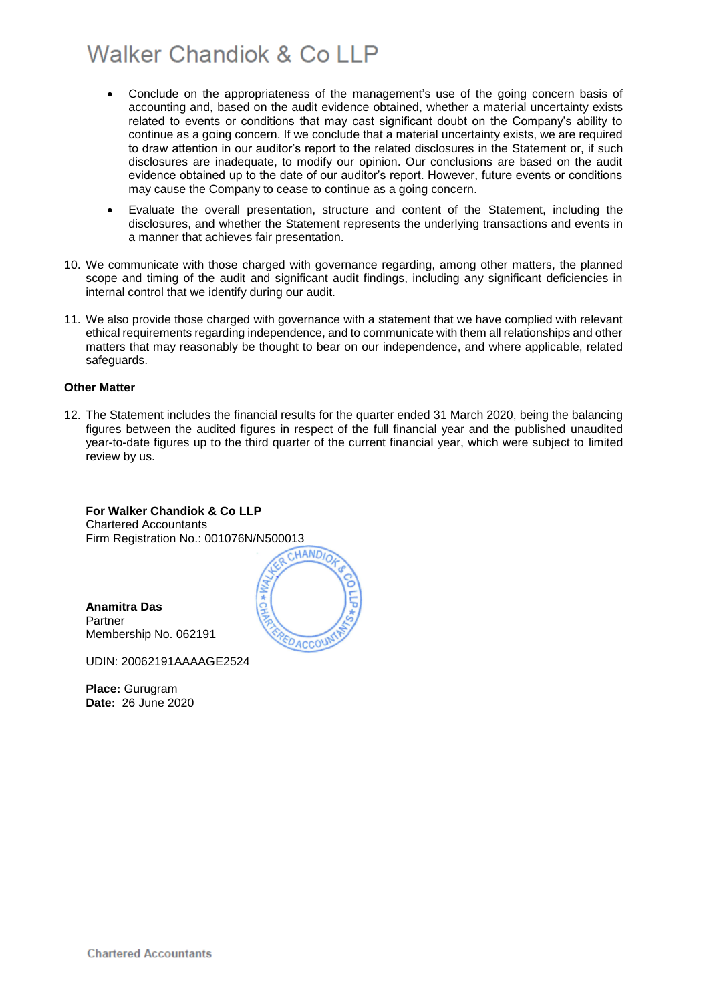- Conclude on the appropriateness of the management's use of the going concern basis of accounting and, based on the audit evidence obtained, whether a material uncertainty exists related to events or conditions that may cast significant doubt on the Company's ability to continue as a going concern. If we conclude that a material uncertainty exists, we are required to draw attention in our auditor's report to the related disclosures in the Statement or, if such disclosures are inadequate, to modify our opinion. Our conclusions are based on the audit evidence obtained up to the date of our auditor's report. However, future events or conditions may cause the Company to cease to continue as a going concern.
- Evaluate the overall presentation, structure and content of the Statement, including the disclosures, and whether the Statement represents the underlying transactions and events in a manner that achieves fair presentation.
- 10. We communicate with those charged with governance regarding, among other matters, the planned scope and timing of the audit and significant audit findings, including any significant deficiencies in internal control that we identify during our audit.
- 11. We also provide those charged with governance with a statement that we have complied with relevant ethical requirements regarding independence, and to communicate with them all relationships and other matters that may reasonably be thought to bear on our independence, and where applicable, related safeguards.

### **Other Matter**

12. The Statement includes the financial results for the quarter ended 31 March 2020, being the balancing figures between the audited figures in respect of the full financial year and the published unaudited year-to-date figures up to the third quarter of the current financial year, which were subject to limited review by us.

**For Walker Chandiok & Co LLP**  Chartered Accountants Firm Registration No.: 001076N/N500013<br>CHANDIO



**Anamitra Das** Partner Membership No. 062191

UDIN: 20062191AAAAGE2524

**Place:** Gurugram **Date:** 26 June 2020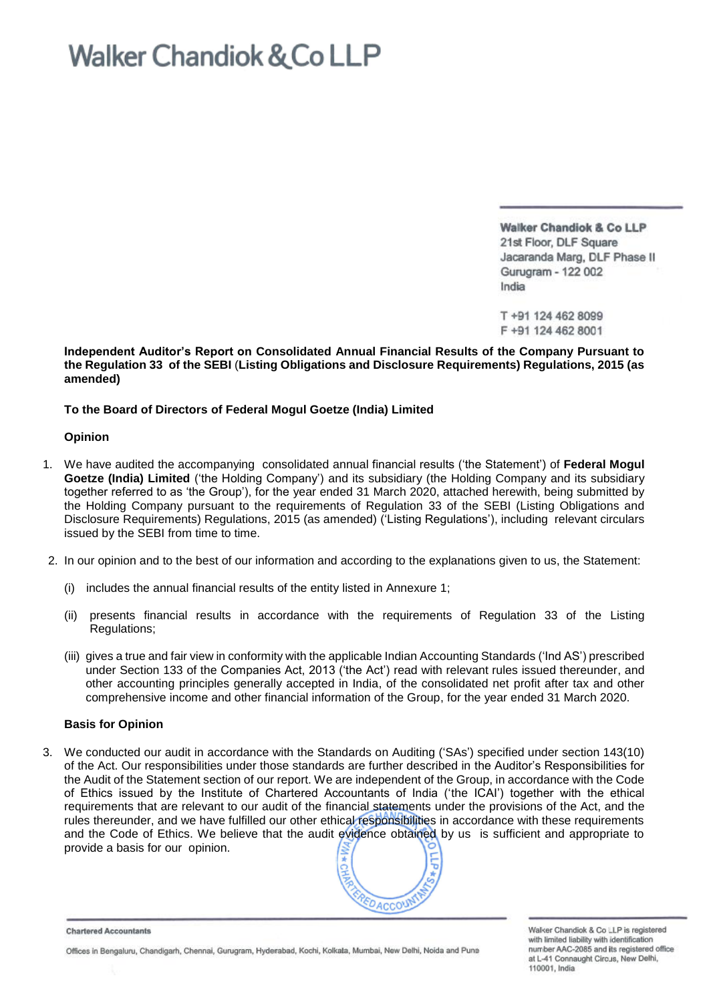Walker Chandiok & Co LLP 21st Floor, DLF Square Jacaranda Marg, DLF Phase II Gurugram - 122 002 India

T +91 124 462 8099 F +91 124 462 8001

**Independent Auditor's Report on Consolidated Annual Financial Results of the Company Pursuant to the Regulation 33 of the SEBI** (**Listing Obligations and Disclosure Requirements) Regulations, 2015 (as amended)**

### **To the Board of Directors of Federal Mogul Goetze (India) Limited**

### **Opinion**

- 1. We have audited the accompanying consolidated annual financial results ('the Statement') of **Federal Mogul Goetze (India) Limited** ('the Holding Company') and its subsidiary (the Holding Company and its subsidiary together referred to as 'the Group'), for the year ended 31 March 2020, attached herewith, being submitted by the Holding Company pursuant to the requirements of Regulation 33 of the SEBI (Listing Obligations and Disclosure Requirements) Regulations, 2015 (as amended) ('Listing Regulations'), including relevant circulars issued by the SEBI from time to time.
- 2. In our opinion and to the best of our information and according to the explanations given to us, the Statement:
	- (i) includes the annual financial results of the entity listed in Annexure 1;
	- (ii) presents financial results in accordance with the requirements of Regulation 33 of the Listing Regulations;
	- (iii) gives a true and fair view in conformity with the applicable Indian Accounting Standards ('Ind AS') prescribed under Section 133 of the Companies Act, 2013 ('the Act') read with relevant rules issued thereunder, and other accounting principles generally accepted in India, of the consolidated net profit after tax and other comprehensive income and other financial information of the Group, for the year ended 31 March 2020.

### **Basis for Opinion**

3. We conducted our audit in accordance with the Standards on Auditing ('SAs') specified under section 143(10) of the Act. Our responsibilities under those standards are further described in the Auditor's Responsibilities for the Audit of the Statement section of our report. We are independent of the Group, in accordance with the Code of Ethics issued by the Institute of Chartered Accountants of India ('the ICAI') together with the ethical requirements that are relevant to our audit of the financial statements under the provisions of the Act, and the rules thereunder, and we have fulfilled our other ethical responsibilities in accordance with these requirements and the Code of Ethics. We believe that the audit evidence obtained by us is sufficient and appropriate to provide a basis for our opinion.



**Chartered Accountants** 

Offices in Bengaluru, Chandigarh, Chennai, Gurugram, Hyderabad, Kochi, Kolkala, Mumbai, New Delhi, Noida and Puna

Walker Chandiok & Co LIP is registered with limited liability with identification number AAC-2085 and its registered office at L-41 Connaught Circus, New Delhi, 110001, India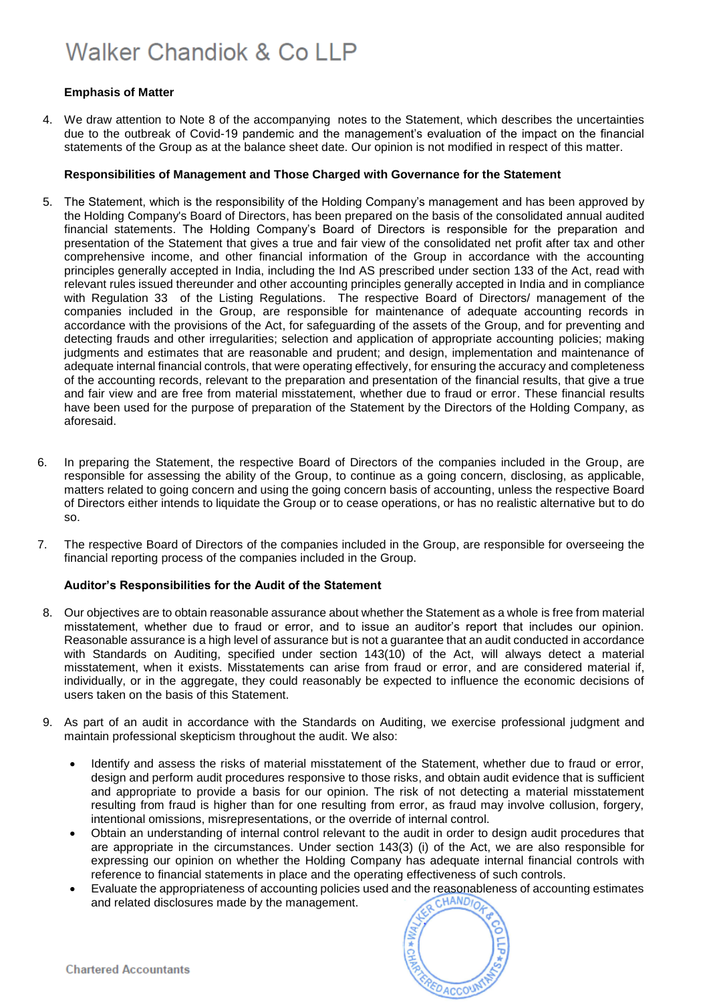### **Emphasis of Matter**

4. We draw attention to Note 8 of the accompanying notes to the Statement, which describes the uncertainties due to the outbreak of Covid-19 pandemic and the management's evaluation of the impact on the financial statements of the Group as at the balance sheet date. Our opinion is not modified in respect of this matter.

### **Responsibilities of Management and Those Charged with Governance for the Statement**

- 5. The Statement, which is the responsibility of the Holding Company's management and has been approved by the Holding Company's Board of Directors, has been prepared on the basis of the consolidated annual audited financial statements. The Holding Company's Board of Directors is responsible for the preparation and presentation of the Statement that gives a true and fair view of the consolidated net profit after tax and other comprehensive income, and other financial information of the Group in accordance with the accounting principles generally accepted in India, including the Ind AS prescribed under section 133 of the Act, read with relevant rules issued thereunder and other accounting principles generally accepted in India and in compliance with Regulation 33 of the Listing Regulations. The respective Board of Directors/ management of the companies included in the Group, are responsible for maintenance of adequate accounting records in accordance with the provisions of the Act, for safeguarding of the assets of the Group, and for preventing and detecting frauds and other irregularities; selection and application of appropriate accounting policies; making judgments and estimates that are reasonable and prudent; and design, implementation and maintenance of adequate internal financial controls, that were operating effectively, for ensuring the accuracy and completeness of the accounting records, relevant to the preparation and presentation of the financial results, that give a true and fair view and are free from material misstatement, whether due to fraud or error. These financial results have been used for the purpose of preparation of the Statement by the Directors of the Holding Company, as aforesaid.
- 6. In preparing the Statement, the respective Board of Directors of the companies included in the Group, are responsible for assessing the ability of the Group, to continue as a going concern, disclosing, as applicable, matters related to going concern and using the going concern basis of accounting, unless the respective Board of Directors either intends to liquidate the Group or to cease operations, or has no realistic alternative but to do so.
- 7. The respective Board of Directors of the companies included in the Group, are responsible for overseeing the financial reporting process of the companies included in the Group.

### **Auditor's Responsibilities for the Audit of the Statement**

- 8. Our objectives are to obtain reasonable assurance about whether the Statement as a whole is free from material misstatement, whether due to fraud or error, and to issue an auditor's report that includes our opinion. Reasonable assurance is a high level of assurance but is not a guarantee that an audit conducted in accordance with Standards on Auditing, specified under section 143(10) of the Act, will always detect a material misstatement, when it exists. Misstatements can arise from fraud or error, and are considered material if, individually, or in the aggregate, they could reasonably be expected to influence the economic decisions of users taken on the basis of this Statement.
- 9. As part of an audit in accordance with the Standards on Auditing, we exercise professional judgment and maintain professional skepticism throughout the audit. We also:
	- Identify and assess the risks of material misstatement of the Statement, whether due to fraud or error, design and perform audit procedures responsive to those risks, and obtain audit evidence that is sufficient and appropriate to provide a basis for our opinion. The risk of not detecting a material misstatement resulting from fraud is higher than for one resulting from error, as fraud may involve collusion, forgery, intentional omissions, misrepresentations, or the override of internal control.
	- Obtain an understanding of internal control relevant to the audit in order to design audit procedures that are appropriate in the circumstances. Under section 143(3) (i) of the Act, we are also responsible for expressing our opinion on whether the Holding Company has adequate internal financial controls with reference to financial statements in place and the operating effectiveness of such controls.
	- Evaluate the appropriateness of accounting policies used and the reasonableness of accounting estimates and related disclosures made by the management. and related disclosures made by the management.

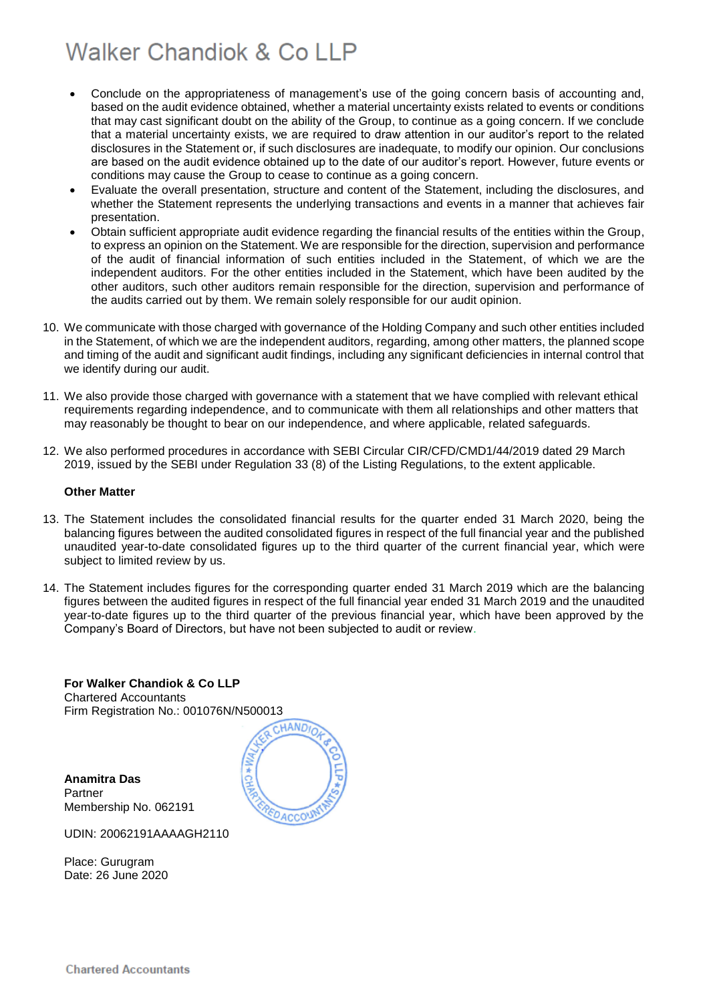- Conclude on the appropriateness of management's use of the going concern basis of accounting and, based on the audit evidence obtained, whether a material uncertainty exists related to events or conditions that may cast significant doubt on the ability of the Group, to continue as a going concern. If we conclude that a material uncertainty exists, we are required to draw attention in our auditor's report to the related disclosures in the Statement or, if such disclosures are inadequate, to modify our opinion. Our conclusions are based on the audit evidence obtained up to the date of our auditor's report. However, future events or conditions may cause the Group to cease to continue as a going concern.
- Evaluate the overall presentation, structure and content of the Statement, including the disclosures, and whether the Statement represents the underlying transactions and events in a manner that achieves fair presentation.
- Obtain sufficient appropriate audit evidence regarding the financial results of the entities within the Group, to express an opinion on the Statement. We are responsible for the direction, supervision and performance of the audit of financial information of such entities included in the Statement, of which we are the independent auditors. For the other entities included in the Statement, which have been audited by the other auditors, such other auditors remain responsible for the direction, supervision and performance of the audits carried out by them. We remain solely responsible for our audit opinion.
- 10. We communicate with those charged with governance of the Holding Company and such other entities included in the Statement, of which we are the independent auditors, regarding, among other matters, the planned scope and timing of the audit and significant audit findings, including any significant deficiencies in internal control that we identify during our audit.
- 11. We also provide those charged with governance with a statement that we have complied with relevant ethical requirements regarding independence, and to communicate with them all relationships and other matters that may reasonably be thought to bear on our independence, and where applicable, related safeguards.
- 12. We also performed procedures in accordance with SEBI Circular CIR/CFD/CMD1/44/2019 dated 29 March 2019, issued by the SEBI under Regulation 33 (8) of the Listing Regulations, to the extent applicable.

### **Other Matter**

- 13. The Statement includes the consolidated financial results for the quarter ended 31 March 2020, being the balancing figures between the audited consolidated figures in respect of the full financial year and the published unaudited year-to-date consolidated figures up to the third quarter of the current financial year, which were subject to limited review by us.
- 14. The Statement includes figures for the corresponding quarter ended 31 March 2019 which are the balancing figures between the audited figures in respect of the full financial year ended 31 March 2019 and the unaudited year-to-date figures up to the third quarter of the previous financial year, which have been approved by the Company's Board of Directors, but have not been subjected to audit or review.

CHANDIO

**For Walker Chandiok & Co LLP** Chartered Accountants Firm Registration No.: 001076N/N500013

**Anamitra Das** Partner Membership No. 062191



Place: Gurugram Date: 26 June 2020